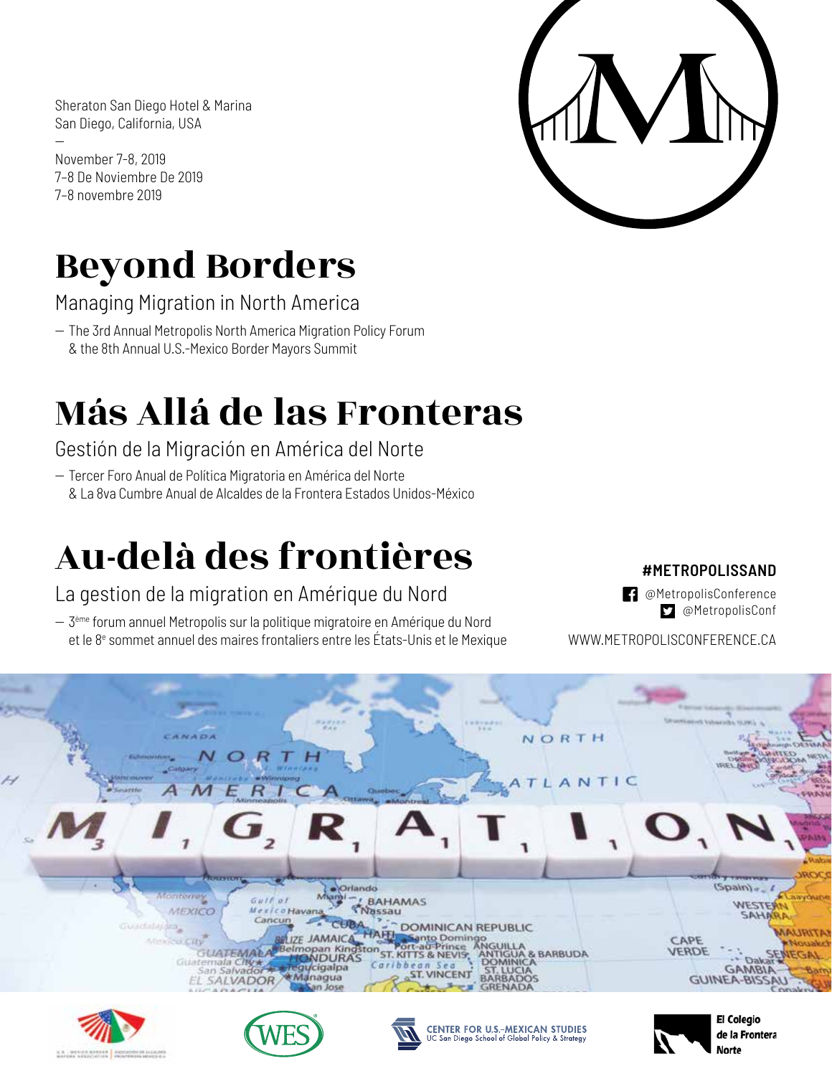Sheraton San Diego Hotel & Marina San Diego, California, USA

-- November 7-8, 2019 7–8 De Noviembre De 2019 7–8 novembre 2019



# Beyond Borders

Managing Migration in North America

- The 3rd Annual Metropolis North America Migration Policy Forum & the 8th Annual U.S.-Mexico Border Mayors Summit

# Más Allá de las Fronteras

Gestión de la Migración en América del Norte

-- Tercer Foro Anual de Política Migratoria en América del Norte & La 8va Cumbre Anual de Alcaldes de la Frontera Estados Unidos-México

# Au-delà des frontières

La gestion de la migration en Amérique du Nord

 $-$  3<sup>ème</sup> forum annuel Metropolis sur la politique migratoire en Amérique du Nord et le 8<sup>e</sup> sommet annuel des maires frontaliers entre les États-Unis et le Mexique

# **#METROPOLISSAND**

**B** @MetropolisConference @MetropolisConf

WWW.METROPOLISCONFERENCE.CA









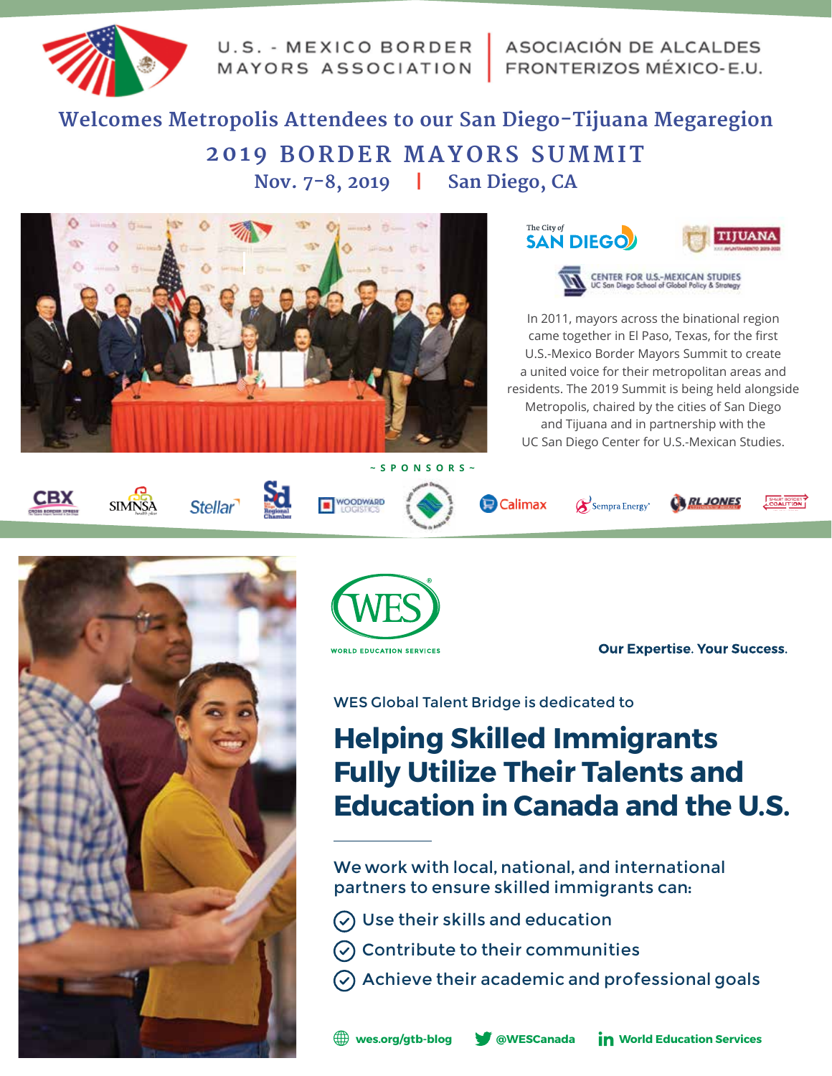

U.S. - MEXICO BORDER MAYORS ASSOCIATION | FRONTERIZOS MÉXICO-E.U.

# **Welcomes Metropolis Attendees to our San Diego-Tijuana Megaregion 2019 BORDER MAYORS SUMMIT Nov. 7-8, 2019 | San Diego, CA**









In 2011, mayors across the binational region came together in El Paso, Texas, for the first U.S.-Mexico Border Mayors Summit to create a united voice for their metropolitan areas and residents. The 2019 Summit is being held alongside Metropolis, chaired by the cities of San Diego and Tijuana and in partnership with the UC San Diego Center for U.S.-Mexican Studies.

















SHART BORDER





**Our Expertise. Your Success.** 

WES Global Talent Bridge is dedicated to

# **Helping Skilled Immigrants Fully Utilize Their Talents and Education in Canada and the U.S.**

We work with local, national, and international partners to ensure skilled immigrants can:

- $\circledcirc$  Use their skills and education
- $\circledcirc$  Contribute to their communities
- $\circledcirc$  Achieve their academic and professional goals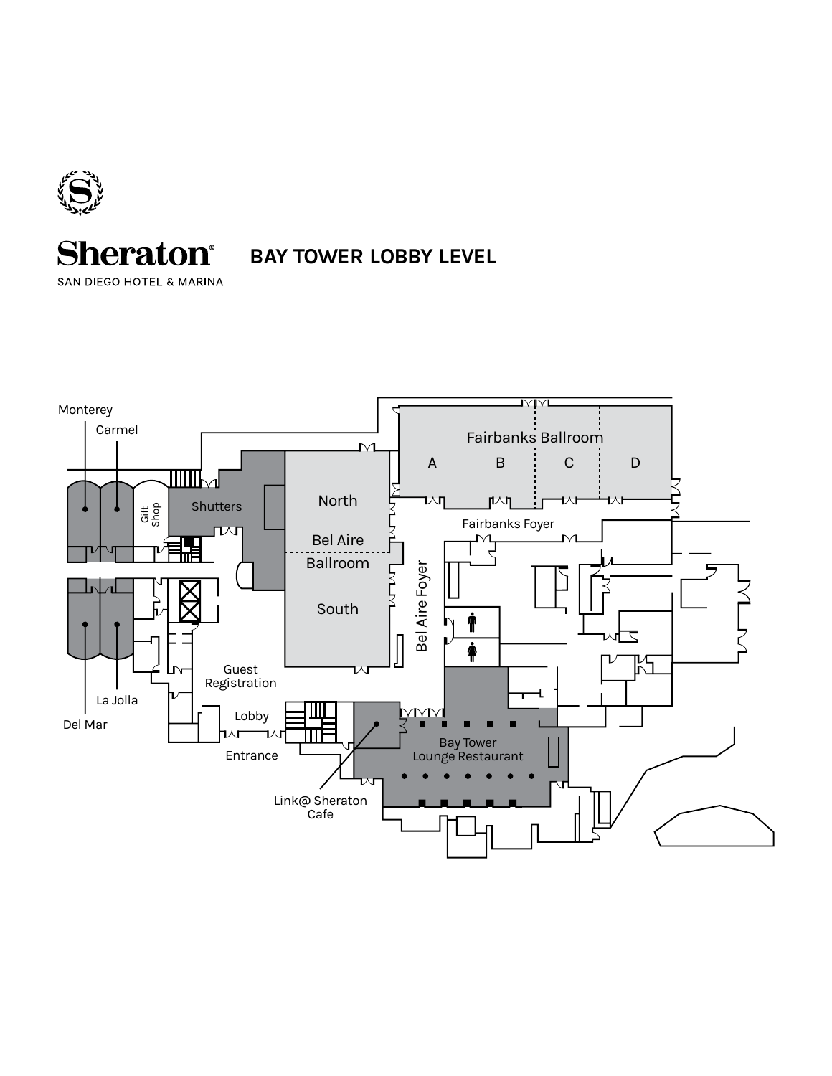

# **Sheraton**<sup>®</sup>

SAN DIEGO HOTEL & MARINA

**BAY TOWER LOBBY LEVEL**

**MM** Monterey Carmel Fairbanks Ballroom  $\overline{\vee}$ A B C D 加Ⅲ₩ North น∿⊓  $\mathbb{M}$ **Shutters** Gift Shop Fairbanks Foyer 心 Bel Aire MT ₩ Ballroom Bel Aire Foyer Bel Aire Foyer South Ť  $\overline{\phantom{0}}$ ♠  $\overline{\mathcal{L}}$ Guest ખ Registration La Jolla  $MML$ Lobby Del Mar  $\wedge$ r ┑⋏ Bay Tower Entrance Lounge Restaurant Link@ Sheraton Cafe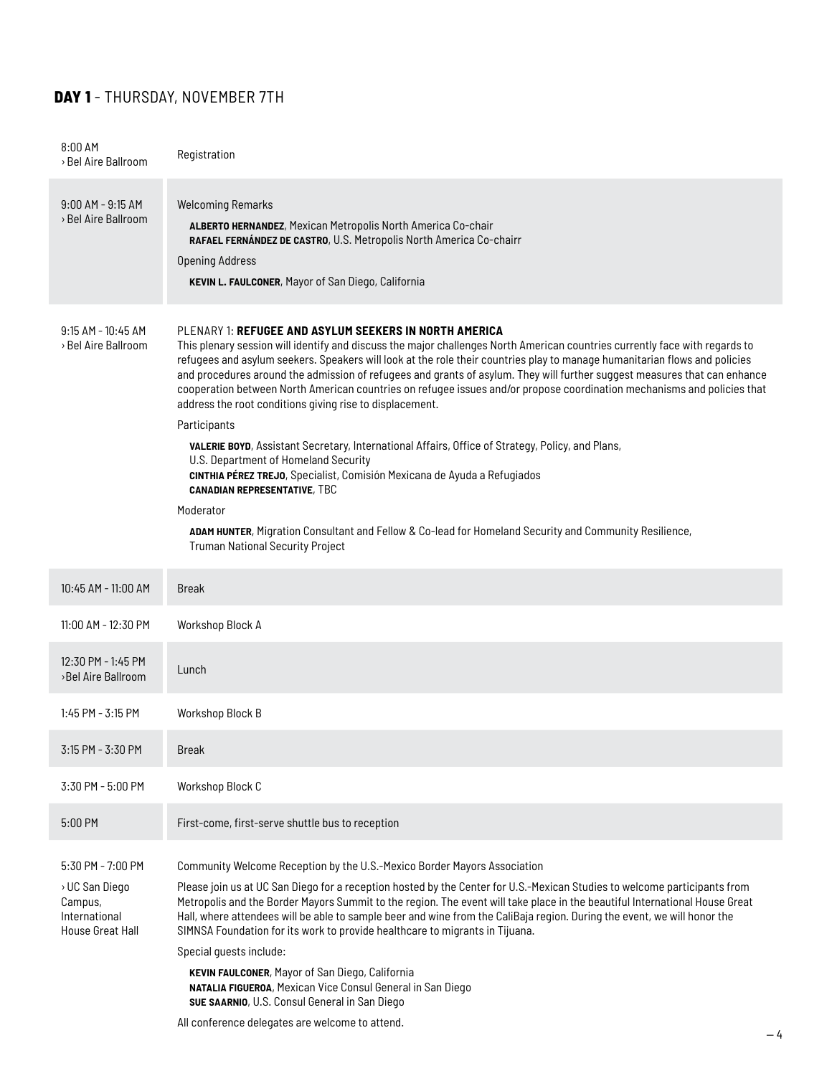# **DAY 1** - THURSDAY, NOVEMBER 7TH

| 8:00 AM<br>> Bel Aire Ballroom                                                             | Registration                                                                                                                                                                                                                                                                                                                                                                                                                                                                                                                                                                                                                                                                                                                                                                                                                                                                                                                                                                                                                                                                                     |
|--------------------------------------------------------------------------------------------|--------------------------------------------------------------------------------------------------------------------------------------------------------------------------------------------------------------------------------------------------------------------------------------------------------------------------------------------------------------------------------------------------------------------------------------------------------------------------------------------------------------------------------------------------------------------------------------------------------------------------------------------------------------------------------------------------------------------------------------------------------------------------------------------------------------------------------------------------------------------------------------------------------------------------------------------------------------------------------------------------------------------------------------------------------------------------------------------------|
| $9:00$ AM - $9:15$ AM<br>> Bel Aire Ballroom                                               | <b>Welcoming Remarks</b><br>ALBERTO HERNANDEZ, Mexican Metropolis North America Co-chair<br>RAFAEL FERNÁNDEZ DE CASTRO, U.S. Metropolis North America Co-chairr<br><b>Opening Address</b><br>KEVIN L. FAULCONER, Mayor of San Diego, California                                                                                                                                                                                                                                                                                                                                                                                                                                                                                                                                                                                                                                                                                                                                                                                                                                                  |
| $9:15$ AM - 10:45 AM<br>> Bel Aire Ballroom                                                | PLENARY 1: REFUGEE AND ASYLUM SEEKERS IN NORTH AMERICA<br>This plenary session will identify and discuss the major challenges North American countries currently face with regards to<br>refugees and asylum seekers. Speakers will look at the role their countries play to manage humanitarian flows and policies<br>and procedures around the admission of refugees and grants of asylum. They will further suggest measures that can enhance<br>cooperation between North American countries on refugee issues and/or propose coordination mechanisms and policies that<br>address the root conditions giving rise to displacement.<br>Participants<br><b>VALERIE BOYD</b> , Assistant Secretary, International Affairs, Office of Strategy, Policy, and Plans,<br>U.S. Department of Homeland Security<br>CINTHIA PÉREZ TREJO, Specialist, Comisión Mexicana de Ayuda a Refugiados<br><b>CANADIAN REPRESENTATIVE, TBC</b><br>Moderator<br>ADAM HUNTER, Migration Consultant and Fellow & Co-lead for Homeland Security and Community Resilience,<br><b>Truman National Security Project</b> |
| 10:45 AM - 11:00 AM                                                                        | <b>Break</b>                                                                                                                                                                                                                                                                                                                                                                                                                                                                                                                                                                                                                                                                                                                                                                                                                                                                                                                                                                                                                                                                                     |
| 11:00 AM - 12:30 PM                                                                        | Workshop Block A                                                                                                                                                                                                                                                                                                                                                                                                                                                                                                                                                                                                                                                                                                                                                                                                                                                                                                                                                                                                                                                                                 |
| 12:30 PM - 1:45 PM<br>>Bel Aire Ballroom                                                   | Lunch                                                                                                                                                                                                                                                                                                                                                                                                                                                                                                                                                                                                                                                                                                                                                                                                                                                                                                                                                                                                                                                                                            |
| 1:45 PM - 3:15 PM                                                                          | Workshop Block B                                                                                                                                                                                                                                                                                                                                                                                                                                                                                                                                                                                                                                                                                                                                                                                                                                                                                                                                                                                                                                                                                 |
| 3:15 PM - 3:30 PM                                                                          | <b>Break</b>                                                                                                                                                                                                                                                                                                                                                                                                                                                                                                                                                                                                                                                                                                                                                                                                                                                                                                                                                                                                                                                                                     |
| 3:30 PM - 5:00 PM                                                                          | Workshop Block C                                                                                                                                                                                                                                                                                                                                                                                                                                                                                                                                                                                                                                                                                                                                                                                                                                                                                                                                                                                                                                                                                 |
| 5:00 PM                                                                                    | First-come, first-serve shuttle bus to reception                                                                                                                                                                                                                                                                                                                                                                                                                                                                                                                                                                                                                                                                                                                                                                                                                                                                                                                                                                                                                                                 |
| 5:30 PM - 7:00 PM<br>> UC San Diego<br>Campus,<br>International<br><b>House Great Hall</b> | Community Welcome Reception by the U.S.-Mexico Border Mayors Association<br>Please join us at UC San Diego for a reception hosted by the Center for U.S.-Mexican Studies to welcome participants from<br>Metropolis and the Border Mayors Summit to the region. The event will take place in the beautiful International House Great<br>Hall, where attendees will be able to sample beer and wine from the CaliBaja region. During the event, we will honor the<br>SIMNSA Foundation for its work to provide healthcare to migrants in Tijuana.<br>Special quests include:<br>KEVIN FAULCONER, Mayor of San Diego, California<br>NATALIA FIGUEROA, Mexican Vice Consul General in San Diego<br>SUE SAARNIO, U.S. Consul General in San Diego                                                                                                                                                                                                                                                                                                                                                    |
|                                                                                            | All conference delegates are welcome to attend.                                                                                                                                                                                                                                                                                                                                                                                                                                                                                                                                                                                                                                                                                                                                                                                                                                                                                                                                                                                                                                                  |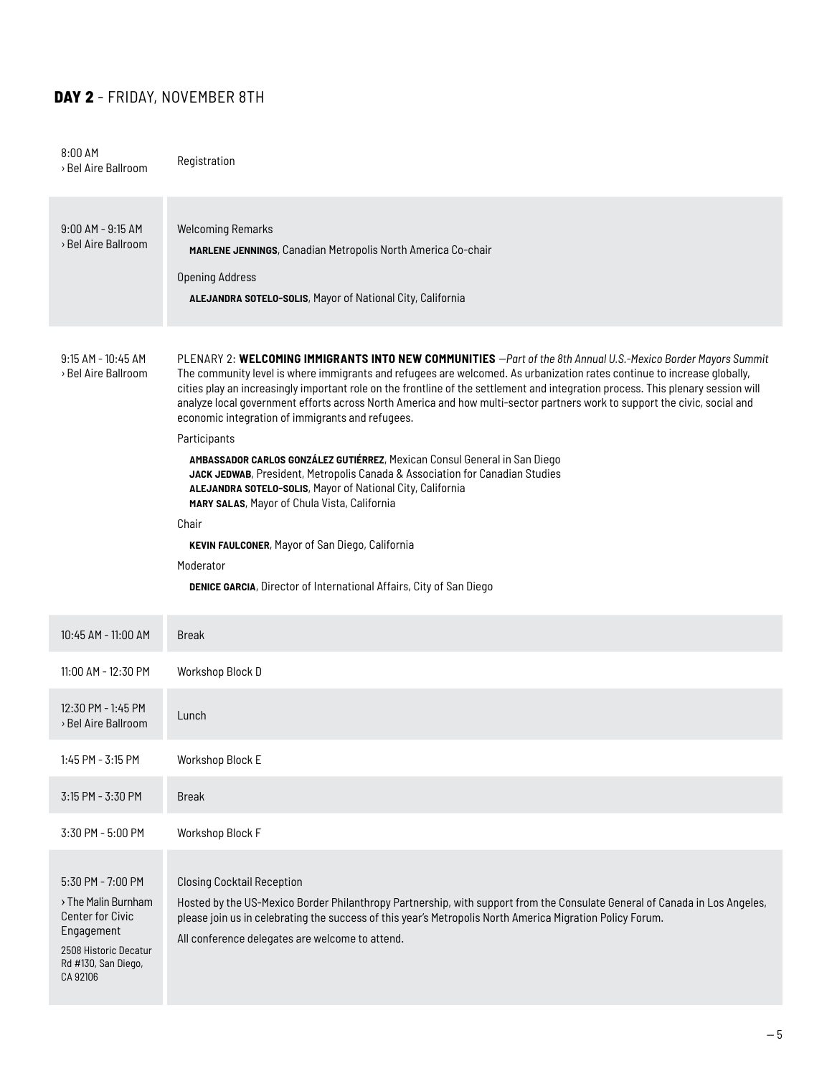# **DAY 2** - FRIDAY, NOVEMBER 8TH

| 8:00 AM<br>> Bel Aire Ballroom                                                                                                                | Registration                                                                                                                                                                                                                                                                                                                                                                                                                                                                                                                                                                                                                                                                                                                                                                                                                                                                                                                                                                                             |
|-----------------------------------------------------------------------------------------------------------------------------------------------|----------------------------------------------------------------------------------------------------------------------------------------------------------------------------------------------------------------------------------------------------------------------------------------------------------------------------------------------------------------------------------------------------------------------------------------------------------------------------------------------------------------------------------------------------------------------------------------------------------------------------------------------------------------------------------------------------------------------------------------------------------------------------------------------------------------------------------------------------------------------------------------------------------------------------------------------------------------------------------------------------------|
| $9:00$ AM - $9:15$ AM<br>> Bel Aire Ballroom                                                                                                  | <b>Welcoming Remarks</b><br>MARLENE JENNINGS, Canadian Metropolis North America Co-chair<br><b>Opening Address</b><br>ALEJANDRA SOTELO-SOLIS, Mayor of National City, California                                                                                                                                                                                                                                                                                                                                                                                                                                                                                                                                                                                                                                                                                                                                                                                                                         |
| $9:15$ AM - 10:45 AM<br>> Bel Aire Ballroom                                                                                                   | PLENARY 2: WELCOMING IMMIGRANTS INTO NEW COMMUNITIES -Part of the 8th Annual U.S.-Mexico Border Mayors Summit<br>The community level is where immigrants and refugees are welcomed. As urbanization rates continue to increase globally,<br>cities play an increasingly important role on the frontline of the settlement and integration process. This plenary session will<br>analyze local government efforts across North America and how multi-sector partners work to support the civic, social and<br>economic integration of immigrants and refugees.<br>Participants<br>AMBASSADOR CARLOS GONZÁLEZ GUTIÉRREZ, Mexican Consul General in San Diego<br>JACK JEDWAB, President, Metropolis Canada & Association for Canadian Studies<br>ALEJANDRA SOTELO-SOLIS, Mayor of National City, California<br>MARY SALAS, Mayor of Chula Vista, California<br>Chair<br>KEVIN FAULCONER, Mayor of San Diego, California<br>Moderator<br>DENICE GARCIA, Director of International Affairs, City of San Diego |
| 10:45 AM - 11:00 AM                                                                                                                           | <b>Break</b>                                                                                                                                                                                                                                                                                                                                                                                                                                                                                                                                                                                                                                                                                                                                                                                                                                                                                                                                                                                             |
| 11:00 AM - 12:30 PM                                                                                                                           | Workshop Block D                                                                                                                                                                                                                                                                                                                                                                                                                                                                                                                                                                                                                                                                                                                                                                                                                                                                                                                                                                                         |
| 12:30 PM - 1:45 PM<br>> Bel Aire Ballroom                                                                                                     | Lunch                                                                                                                                                                                                                                                                                                                                                                                                                                                                                                                                                                                                                                                                                                                                                                                                                                                                                                                                                                                                    |
| 1:45 PM - 3:15 PM                                                                                                                             | Workshop Block E                                                                                                                                                                                                                                                                                                                                                                                                                                                                                                                                                                                                                                                                                                                                                                                                                                                                                                                                                                                         |
| 3:15 PM - 3:30 PM                                                                                                                             | <b>Break</b>                                                                                                                                                                                                                                                                                                                                                                                                                                                                                                                                                                                                                                                                                                                                                                                                                                                                                                                                                                                             |
| 3:30 PM - 5:00 PM                                                                                                                             | Workshop Block F                                                                                                                                                                                                                                                                                                                                                                                                                                                                                                                                                                                                                                                                                                                                                                                                                                                                                                                                                                                         |
| 5:30 PM - 7:00 PM<br>> The Malin Burnham<br><b>Center for Civic</b><br>Engagement<br>2508 Historic Decatur<br>Rd #130, San Diego,<br>CA 92106 | <b>Closing Cocktail Reception</b><br>Hosted by the US-Mexico Border Philanthropy Partnership, with support from the Consulate General of Canada in Los Angeles,<br>please join us in celebrating the success of this year's Metropolis North America Migration Policy Forum.<br>All conference delegates are welcome to attend.                                                                                                                                                                                                                                                                                                                                                                                                                                                                                                                                                                                                                                                                          |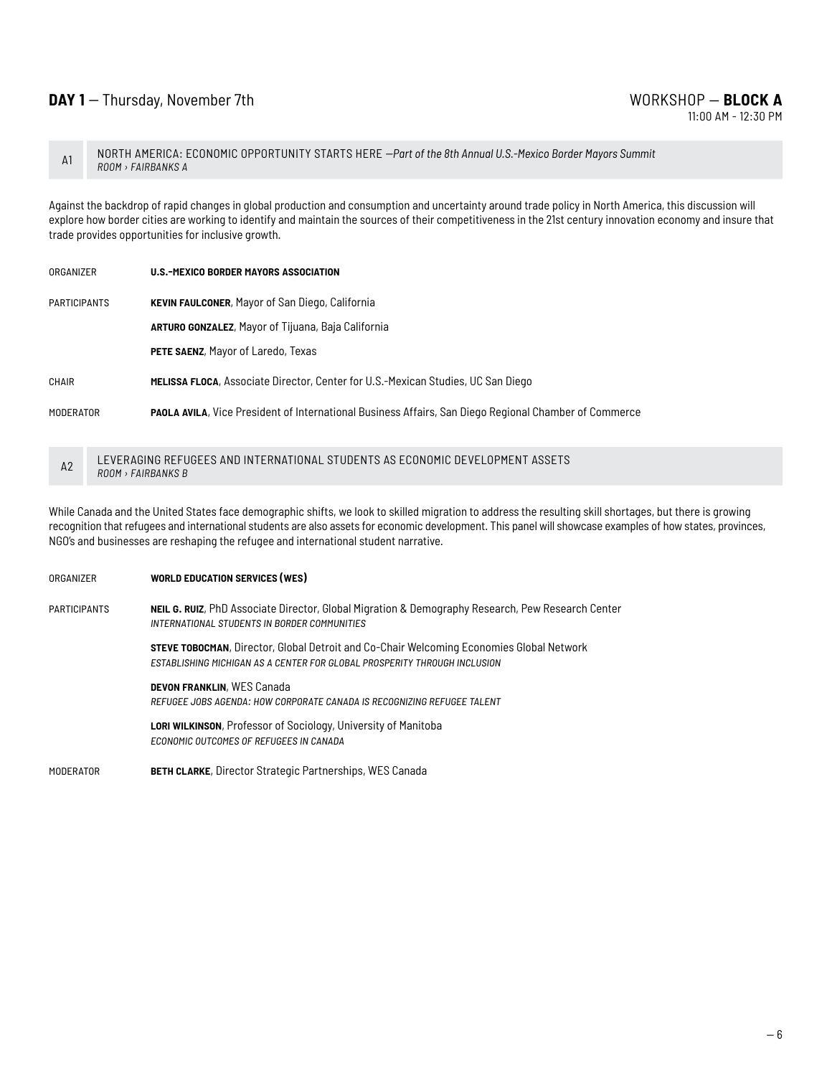A1 NORTH AMERICA: ECONOMIC OPPORTUNITY STARTS HERE *--Part of the 8th Annual U.S.-Mexico Border Mayors Summit ROOM › FAIRBANKS A*

Against the backdrop of rapid changes in global production and consumption and uncertainty around trade policy in North America, this discussion will explore how border cities are working to identify and maintain the sources of their competitiveness in the 21st century innovation economy and insure that trade provides opportunities for inclusive growth.

| ORGANIZER | U.S.-MEXICO BORDER MAYORS ASSOCIATION |
|-----------|---------------------------------------|
|-----------|---------------------------------------|

participants **kevin faulconer**, Mayor of San Diego, California

**arturo gonzalez**, Mayor of Tijuana, Baja California

**PETE SAENZ, Mayor of Laredo, Texas** 

chair **melissa floca**, Associate Director, Center for U.S.-Mexican Studies, UC San Diego

moderator **paola avila**, Vice President of International Business Affairs, San Diego Regional Chamber of Commerce

A2 LEVERAGING REFUGEES AND INTERNATIONAL STUDENTS AS ECONOMIC DEVELOPMENT ASSETS *ROOM › FAIRBANKS B*

While Canada and the United States face demographic shifts, we look to skilled migration to address the resulting skill shortages, but there is growing recognition that refugees and international students are also assets for economic development. This panel will showcase examples of how states, provinces, NGO's and businesses are reshaping the refugee and international student narrative.

# organizer **world education services (wes)** participants **neil g. ruiz**, PhD Associate Director, Global Migration & Demography Research, Pew Research Center *international students in border communities* **steve tobocman**, Director, Global Detroit and Co-Chair Welcoming Economies Global Network *establishing michigan as a center for global prosperity through inclusion* **devon franklin**, WES Canada *refugee jobs agenda: how corporate canada is recognizing refugee talent* **lori wilkinson**, Professor of Sociology, University of Manitoba *economic outcomes of refugees in canada*

moderator **beth clarke**, Director Strategic Partnerships, WES Canada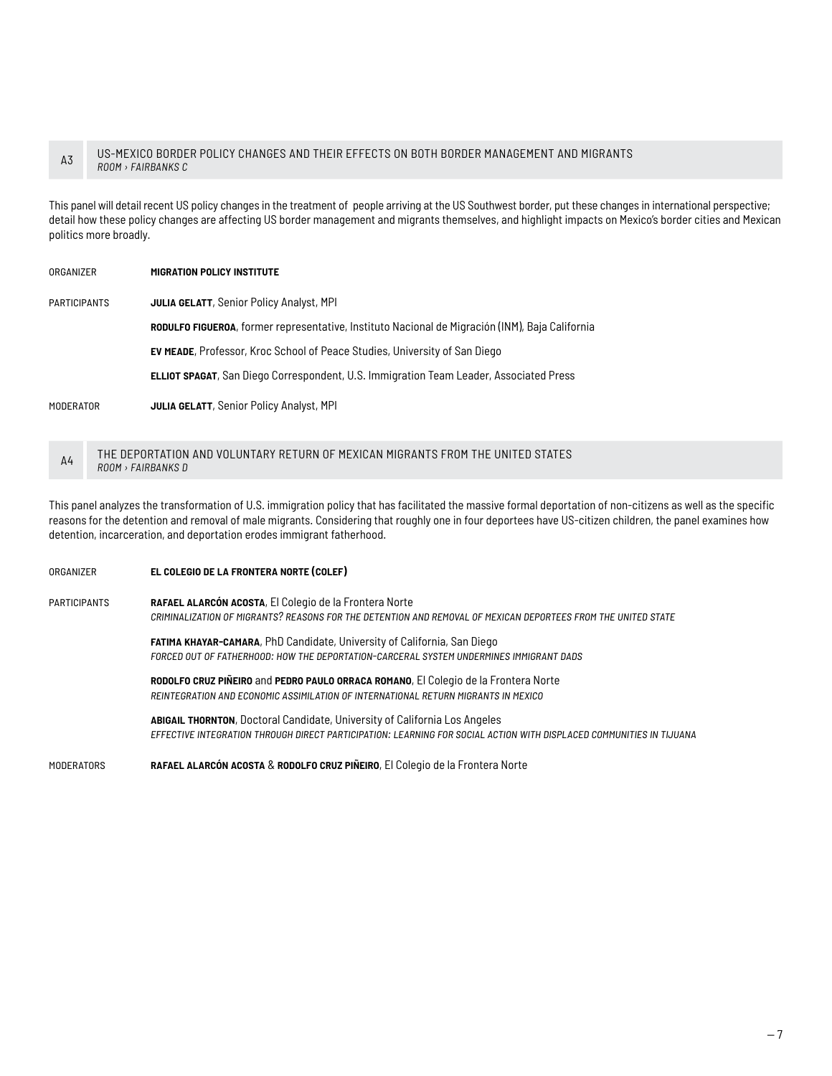#### A3 US-MEXICO BORDER POLICY CHANGES AND THEIR EFFECTS ON BOTH BORDER MANAGEMENT AND MIGRANTS *ROOM › FAIRBANKS C*

This panel will detail recent US policy changes in the treatment of people arriving at the US Southwest border, put these changes in international perspective; detail how these policy changes are affecting US border management and migrants themselves, and highlight impacts on Mexico's border cities and Mexican politics more broadly.

#### organizer **migration policy institute**

participants **julia gelatt**, Senior Policy Analyst, MPI

**rodulfo figueroa**, former representative, Instituto Nacional de Migración (INM), Baja California

**ev meade**, Professor, Kroc School of Peace Studies, University of San Diego

**elliot spagat**, San Diego Correspondent, U.S. Immigration Team Leader, Associated Press

moderator **julia gelatt**, Senior Policy Analyst, MPI

#### A4 THE DEPORTATION AND VOLUNTARY RETURN OF MEXICAN MIGRANTS FROM THE UNITED STATES *ROOM › FAIRBANKS D*

This panel analyzes the transformation of U.S. immigration policy that has facilitated the massive formal deportation of non-citizens as well as the specific reasons for the detention and removal of male migrants. Considering that roughly one in four deportees have US-citizen children, the panel examines how detention, incarceration, and deportation erodes immigrant fatherhood.

# organizer **el colegio de la frontera norte (colef)** participants **rafael alarcón acosta**, El Colegio de la Frontera Norte *criminalization of migrants? reasons for the detention and removal of mexican deportees from the united state* **fatima khayar-camara**, PhD Candidate, University of California, San Diego *forced out of fatherhood: how the deportation-carceral system undermines immigrant dads* **rodolfo cruz piñeiro** and **pedro paulo orraca romano**, El Colegio de la Frontera Norte *reintegration and economic assimilation of international return migrants in mexico* **abigail thornton**, Doctoral Candidate, University of California Los Angeles *effective integration through direct participation: learning for social action with displaced communities in tijuana* moderators **rafael alarcón acosta** & **rodolfo cruz piñeiro**, El Colegio de la Frontera Norte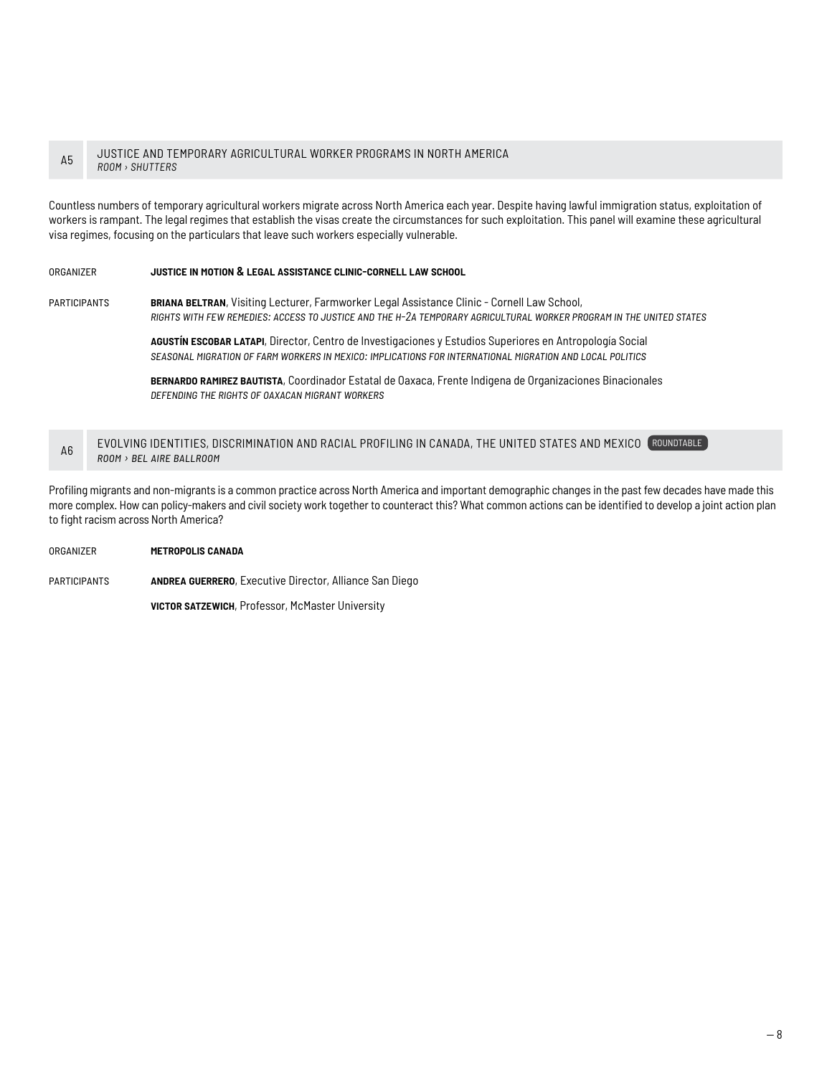#### A5 JUSTICE AND TEMPORARY AGRICULTURAL WORKER PROGRAMS IN NORTH AMERICA *ROOM › SHUTTERS*

Countless numbers of temporary agricultural workers migrate across North America each year. Despite having lawful immigration status, exploitation of workers is rampant. The legal regimes that establish the visas create the circumstances for such exploitation. This panel will examine these agricultural visa regimes, focusing on the particulars that leave such workers especially vulnerable.

#### organizer **justice in motion & legal assistance clinic-cornell law school**

participants **briana beltran**, Visiting Lecturer, Farmworker Legal Assistance Clinic - Cornell Law School, *rights with few remedies: access to justice and the h-2a temporary agricultural worker program in the united states*

> **agustín escobar latapi**, Director, Centro de Investigaciones y Estudios Superiores en Antropología Social *seasonal migration of farm workers in mexico: implications for international migration and local politics*

**bernardo ramirez bautista**, Coordinador Estatal de Oaxaca, Frente Indigena de Organizaciones Binacionales *defending the rights of oaxacan migrant workers*

#### A6 EVOLVING IDENTITIES, DISCRIMINATION AND RACIAL PROFILING IN CANADA, THE UNITED STATES AND MEXICO ROUNDTABLE *room › bel aire ballroom*

Profiling migrants and non-migrants is a common practice across North America and important demographic changes in the past few decades have made this more complex. How can policy-makers and civil society work together to counteract this? What common actions can be identified to develop a joint action plan to fight racism across North America?

#### organizer **metropolis canada**

participants **andrea guerrero**, Executive Director, Alliance San Diego

**victor satzewich**, Professor, McMaster University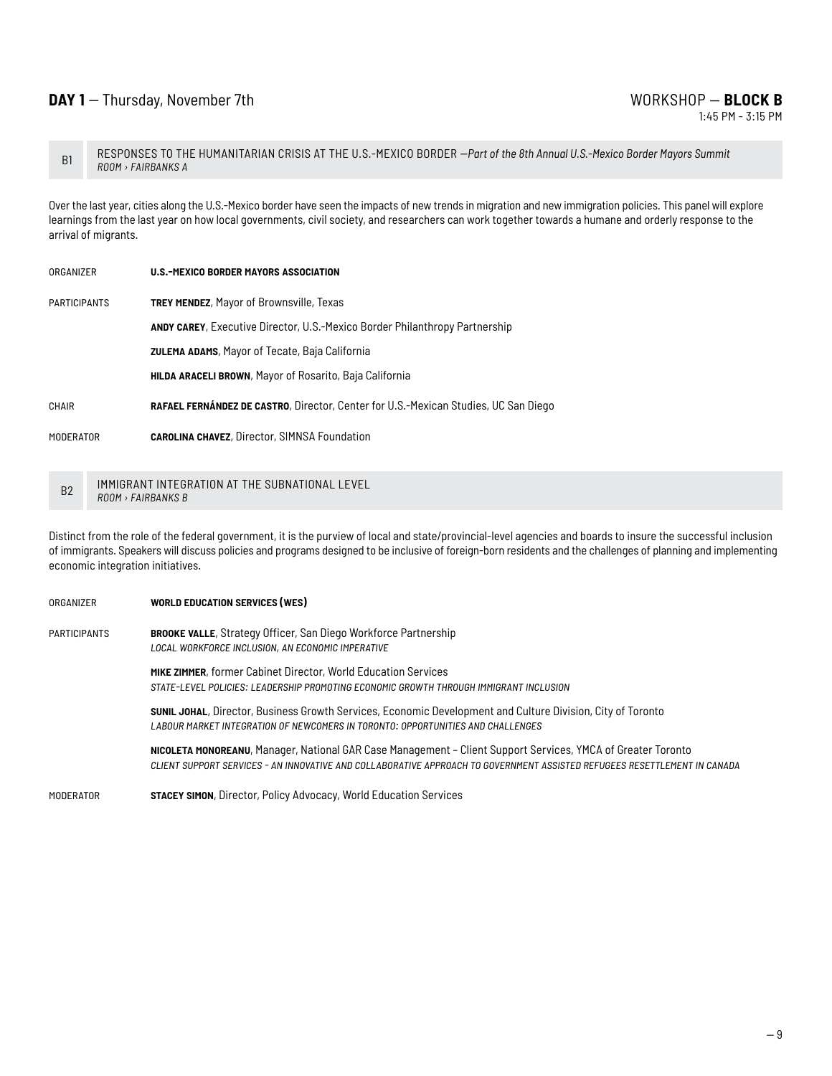B1 RESPONSES TO THE HUMANITARIAN CRISIS AT THE U.S.-MEXICO BORDER *--Part of the 8th Annual U.S.-Mexico Border Mayors Summit ROOM › FAIRBANKS A*

Over the last year, cities along the U.S.-Mexico border have seen the impacts of new trends in migration and new immigration policies. This panel will explore learnings from the last year on how local governments, civil society, and researchers can work together towards a humane and orderly response to the arrival of migrants.

- organizer **u.s.-mexico border mayors association**
- participants **trey mendez**, Mayor of Brownsville, Texas

**andy carey**, Executive Director, U.S.-Mexico Border Philanthropy Partnership

**zulema adams**, Mayor of Tecate, Baja California

**hilda araceli brown**, Mayor of Rosarito, Baja California

chair **rafael fernández de castro**, Director, Center for U.S.-Mexican Studies, UC San Diego

moderator **carolina chavez**, Director, SIMNSA Foundation

B2 IMMIGRANT INTEGRATION AT THE SUBNATIONAL LEVEL *ROOM › FAIRBANKS B*

Distinct from the role of the federal government, it is the purview of local and state/provincial-level agencies and boards to insure the successful inclusion of immigrants. Speakers will discuss policies and programs designed to be inclusive of foreign-born residents and the challenges of planning and implementing economic integration initiatives.

organizer **world education services (wes)** participants **brooke valle**, Strategy Officer, San Diego Workforce Partnership *local workforce inclusion, an economic imperative* **mike zimmer**, former Cabinet Director, World Education Services *state-level policies: leadership promoting economic growth through immigrant inclusion* **sunil johal**, Director, Business Growth Services, Economic Development and Culture Division, City of Toronto *labour market integration of newcomers in toronto: opportunities and challenges* **nicoleta monoreanu**, Manager, National GAR Case Management – Client Support Services, YMCA of Greater Toronto *client support services - an innovative and collaborative approach to government assisted refugees resettlement in canada* moderator **stacey simon**, Director, Policy Advocacy, World Education Services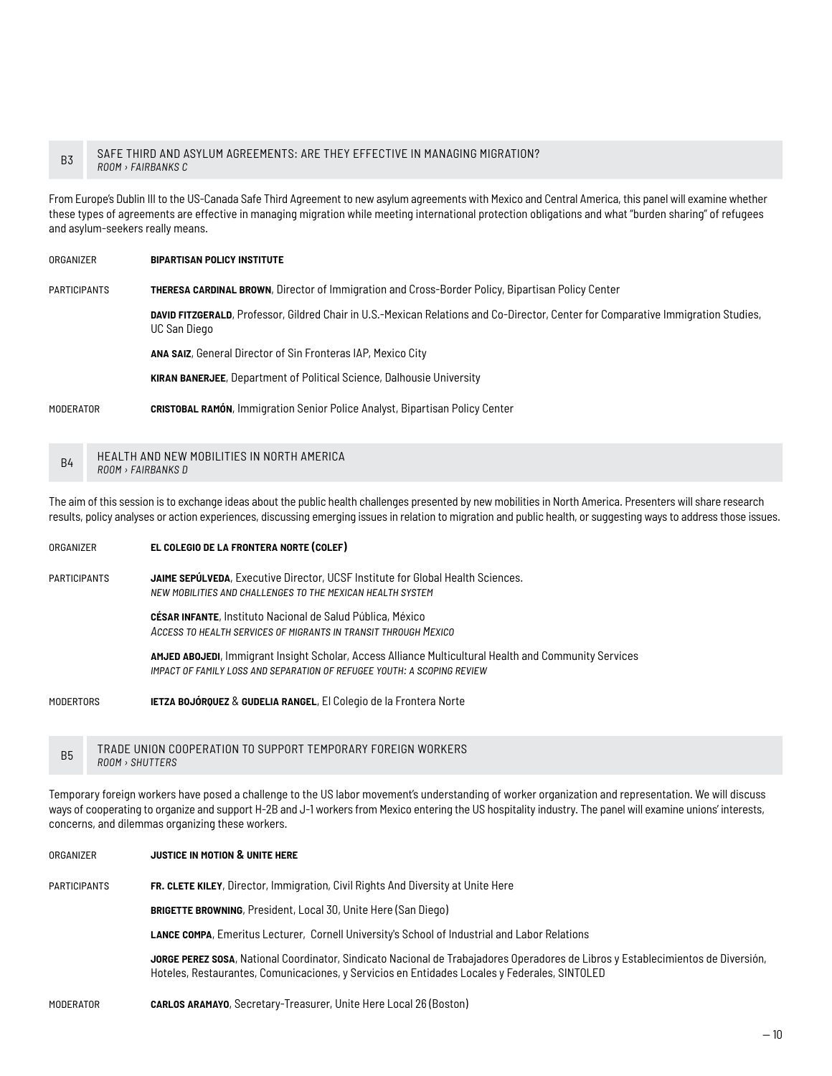#### B3 SAFE THIRD AND ASYLUM AGREEMENTS: ARE THEY EFFECTIVE IN MANAGING MIGRATION? *ROOM › FAIRBANKS C*

From Europe's Dublin III to the US-Canada Safe Third Agreement to new asylum agreements with Mexico and Central America, this panel will examine whether these types of agreements are effective in managing migration while meeting international protection obligations and what "burden sharing" of refugees and asylum-seekers really means.

organizer **bipartisan policy institute**

participants **theresa cardinal brown**, Director of Immigration and Cross-Border Policy, Bipartisan Policy Center

**david fitzgerald**, Professor, Gildred Chair in U.S.-Mexican Relations and Co-Director, Center for Comparative Immigration Studies, UC San Diego

**ana saiz**, General Director of Sin Fronteras IAP, Mexico City

**kiran banerjee**, Department of Political Science, Dalhousie University

moderator **cristobal ramón**, Immigration Senior Police Analyst, Bipartisan Policy Center

B4 HEALTH AND NEW MOBILITIES IN NORTH AMERICA *ROOM › FAIRBANKS D*

The aim of this session is to exchange ideas about the public health challenges presented by new mobilities in North America. Presenters will share research results, policy analyses or action experiences, discussing emerging issues in relation to migration and public health, or suggesting ways to address those issues.

organizer **el colegio de la frontera norte (colef)**

participants **jaime sepúlveda**, Executive Director, UCSF Institute for Global Health Sciences. *new mobilities and challenges to the mexican health system*

> **césar infante**, Instituto Nacional de Salud Pública, México *Access to health services of migrants in transit through Mexico*

**amjed abojedi**, Immigrant Insight Scholar, Access Alliance Multicultural Health and Community Services *impact of family loss and separation of refugee youth: a scoping review*

modertors **ietza bojórquez** & **gudelia rangel**, El Colegio de la Frontera Norte

B5 TRADE UNION COOPERATION TO SUPPORT TEMPORARY FOREIGN WORKERS *ROOM › SHUTTERS*

Temporary foreign workers have posed a challenge to the US labor movement's understanding of worker organization and representation. We will discuss ways of cooperating to organize and support H-2B and J-1 workers from Mexico entering the US hospitality industry. The panel will examine unions' interests, concerns, and dilemmas organizing these workers.

| ORGANIZER           | <b>JUSTICE IN MOTION &amp; UNITE HERE</b>                                                                                                                                                                                         |
|---------------------|-----------------------------------------------------------------------------------------------------------------------------------------------------------------------------------------------------------------------------------|
| <b>PARTICIPANTS</b> | FR. CLETE KILEY, Director, Immigration, Civil Rights And Diversity at Unite Here                                                                                                                                                  |
|                     | <b>BRIGETTE BROWNING, President, Local 30, Unite Here (San Diego)</b>                                                                                                                                                             |
|                     | LANCE COMPA, Emeritus Lecturer, Cornell University's School of Industrial and Labor Relations                                                                                                                                     |
|                     | JORGE PEREZ SOSA, National Coordinator, Sindicato Nacional de Trabajadores Operadores de Libros y Establecimientos de Diversión,<br>Hoteles, Restaurantes, Comunicaciones, y Servicios en Entidades Locales y Federales, SINTOLED |
| <b>MODERATOR</b>    | <b>CARLOS ARAMAYO, Secretary-Treasurer, Unite Here Local 26 (Boston)</b>                                                                                                                                                          |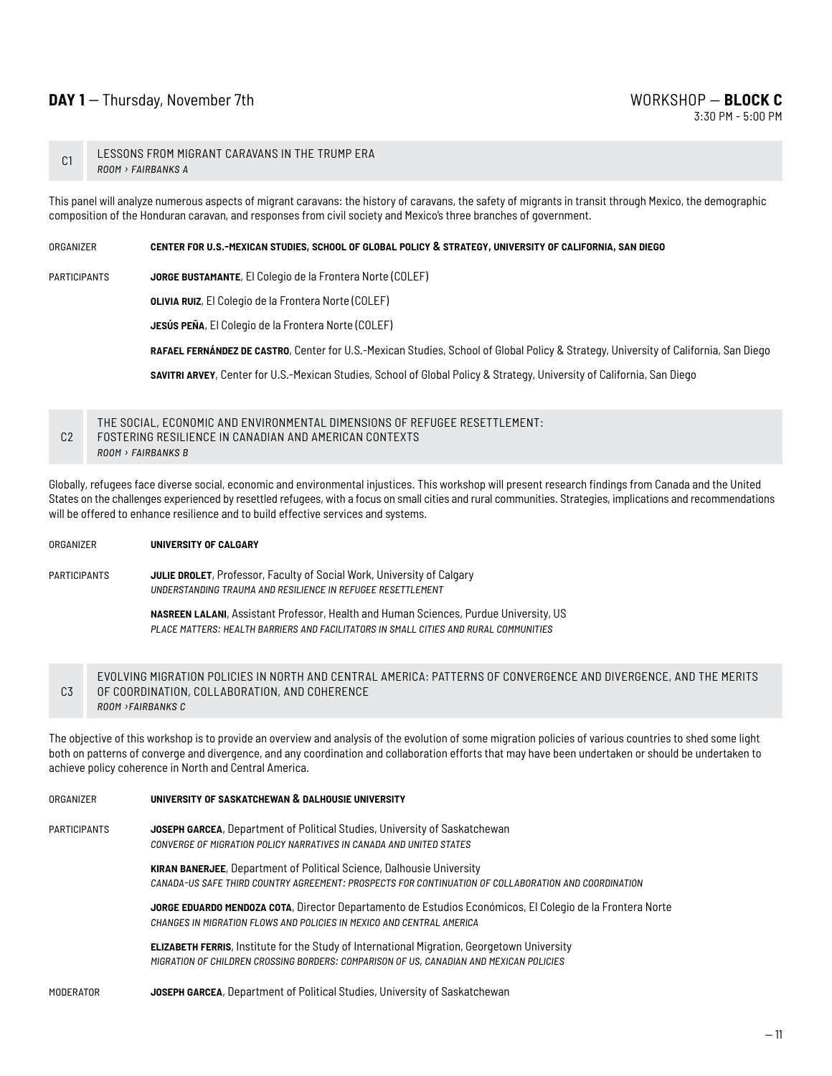### **DAY 1** -- Thursday, November 7th WORKSHOP — **BLOCK C**

#### C1 LESSONS FROM MIGRANT CARAVANS IN THE TRUMP ERA *room › fairbanks a*

This panel will analyze numerous aspects of migrant caravans: the history of caravans, the safety of migrants in transit through Mexico, the demographic composition of the Honduran caravan, and responses from civil society and Mexico's three branches of government.

#### organizer **center for u.s.-mexican studies, school of global policy & strategy, university of california, san diego**

participants **jorge bustamante**, El Colegio de la Frontera Norte (COLEF)

**olivia ruiz**, El Colegio de la Frontera Norte (COLEF)

**jesús peña**, El Colegio de la Frontera Norte (COLEF)

**rafael fernández de castro**, Center for U.S.-Mexican Studies, School of Global Policy & Strategy, University of California, San Diego

**savitri arvey**, Center for U.S.-Mexican Studies, School of Global Policy & Strategy, University of California, San Diego

#### C2 THE SOCIAL, ECONOMIC AND ENVIRONMENTAL DIMENSIONS OF REFUGEE RESETTLEMENT: FOSTERING RESILIENCE IN CANADIAN AND AMERICAN CONTEXTS *room › fairbanks b*

Globally, refugees face diverse social, economic and environmental injustices. This workshop will present research findings from Canada and the United States on the challenges experienced by resettled refugees, with a focus on small cities and rural communities. Strategies, implications and recommendations will be offered to enhance resilience and to build effective services and systems.

#### organizer **university of calgary**

participants **julie drolet**, Professor, Faculty of Social Work, University of Calgary *understanding trauma and resilience in refugee resettlement*

> **nasreen lalani**, Assistant Professor, Health and Human Sciences, Purdue University, US *place matters: health barriers and facilitators in small cities and rural communities*

#### C3 EVOLVING MIGRATION POLICIES IN NORTH AND CENTRAL AMERICA: PATTERNS OF CONVERGENCE AND DIVERGENCE, AND THE MERITS OF COORDINATION, COLLABORATION, AND COHERENCE *room ›fairbanks c*

The objective of this workshop is to provide an overview and analysis of the evolution of some migration policies of various countries to shed some light both on patterns of converge and divergence, and any coordination and collaboration efforts that may have been undertaken or should be undertaken to achieve policy coherence in North and Central America.

| ORGANIZER           | UNIVERSITY OF SASKATCHEWAN & DALHOUSIE UNIVERSITY                                                                                                                                             |
|---------------------|-----------------------------------------------------------------------------------------------------------------------------------------------------------------------------------------------|
| <b>PARTICIPANTS</b> | JOSEPH GARCEA, Department of Political Studies, University of Saskatchewan<br>CONVERGE OF MIGRATION POLICY NARRATIVES IN CANADA AND UNITED STATES                                             |
|                     | <b>KIRAN BANERJEE, Department of Political Science, Dalhousie University</b><br>CANADA-US SAFE THIRD COUNTRY AGREEMENT: PROSPECTS FOR CONTINUATION OF COLLABORATION AND COORDINATION          |
|                     | JORGE EDUARDO MENDOZA COTA, Director Departamento de Estudios Económicos, El Colegio de la Frontera Norte<br>CHANGES IN MIGRATION FLOWS AND POLICIES IN MEXICO AND CENTRAL AMERICA            |
|                     | <b>ELIZABETH FERRIS, Institute for the Study of International Migration, Georgetown University</b><br>MIGRATION OF CHILDREN CROSSING BORDERS: COMPARISON OF US, CANADIAN AND MEXICAN POLICIES |
| <b>MODERATOR</b>    | JOSEPH GARCEA, Department of Political Studies, University of Saskatchewan                                                                                                                    |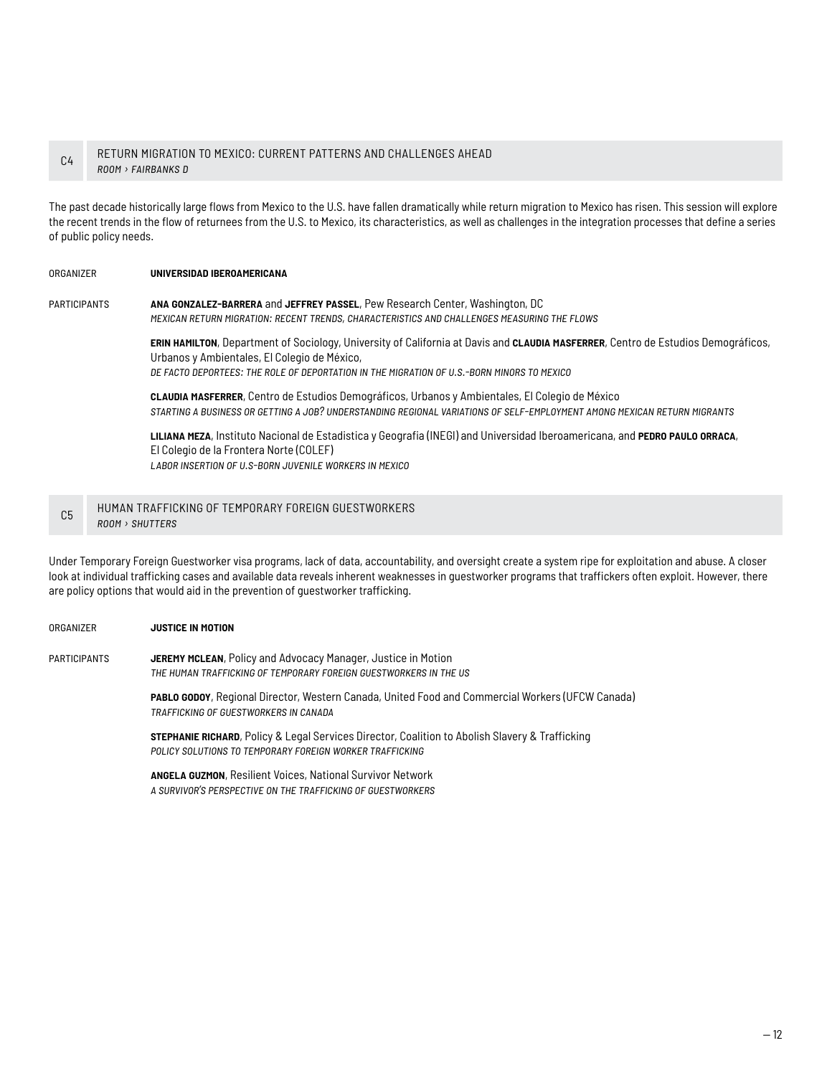#### C4 RETURN MIGRATION TO MEXICO: CURRENT PATTERNS AND CHALLENGES AHEAD *room › fairbanks d*

The past decade historically large flows from Mexico to the U.S. have fallen dramatically while return migration to Mexico has risen. This session will explore the recent trends in the flow of returnees from the U.S. to Mexico, its characteristics, as well as challenges in the integration processes that define a series of public policy needs.

#### organizer **universidad iberoamericana**

participants **ana gonzalez-barrera** and **jeffrey passel**, Pew Research Center, Washington, DC *mexican return migration: recent trends, characteristics and challenges measuring the flows* 

> **erin hamilton**, Department of Sociology, University of California at Davis and **claudia masferrer**, Centro de Estudios Demográficos, Urbanos y Ambientales, El Colegio de México, *de facto deportees: the role of deportation in the migration of u.s.-born minors to mexico*

**claudia masferrer**, Centro de Estudios Demográficos, Urbanos y Ambientales, El Colegio de México *starting a business or getting a job? understanding regional variations of self-employment among mexican return migrants*

**liliana meza**, Instituto Nacional de Estadistica y Geografia (INEGI) and Universidad Iberoamericana, and **pedro paulo orraca**, El Colegio de la Frontera Norte (COLEF) *labor insertion of u.s-born juvenile workers in mexico*

#### C5 HUMAN TRAFFICKING OF TEMPORARY FOREIGN GUESTWORKERS *room › shutters*

Under Temporary Foreign Guestworker visa programs, lack of data, accountability, and oversight create a system ripe for exploitation and abuse. A closer look at individual trafficking cases and available data reveals inherent weaknesses in guestworker programs that traffickers often exploit. However, there are policy options that would aid in the prevention of guestworker trafficking.

#### organizer **justice in motion**

participants **jeremy mclean**, Policy and Advocacy Manager, Justice in Motion *the human trafficking of temporary foreign guestworkers in the us*

> **pablo godoy**, Regional Director, Western Canada, United Food and Commercial Workers (UFCW Canada) *trafficking of guestworkers in canada*

**stephanie richard**, Policy & Legal Services Director, Coalition to Abolish Slavery & Trafficking *policy solutions to temporary foreign worker trafficking*

**angela guzmon**, Resilient Voices, National Survivor Network *a survivor's perspective on the trafficking of guestworkers*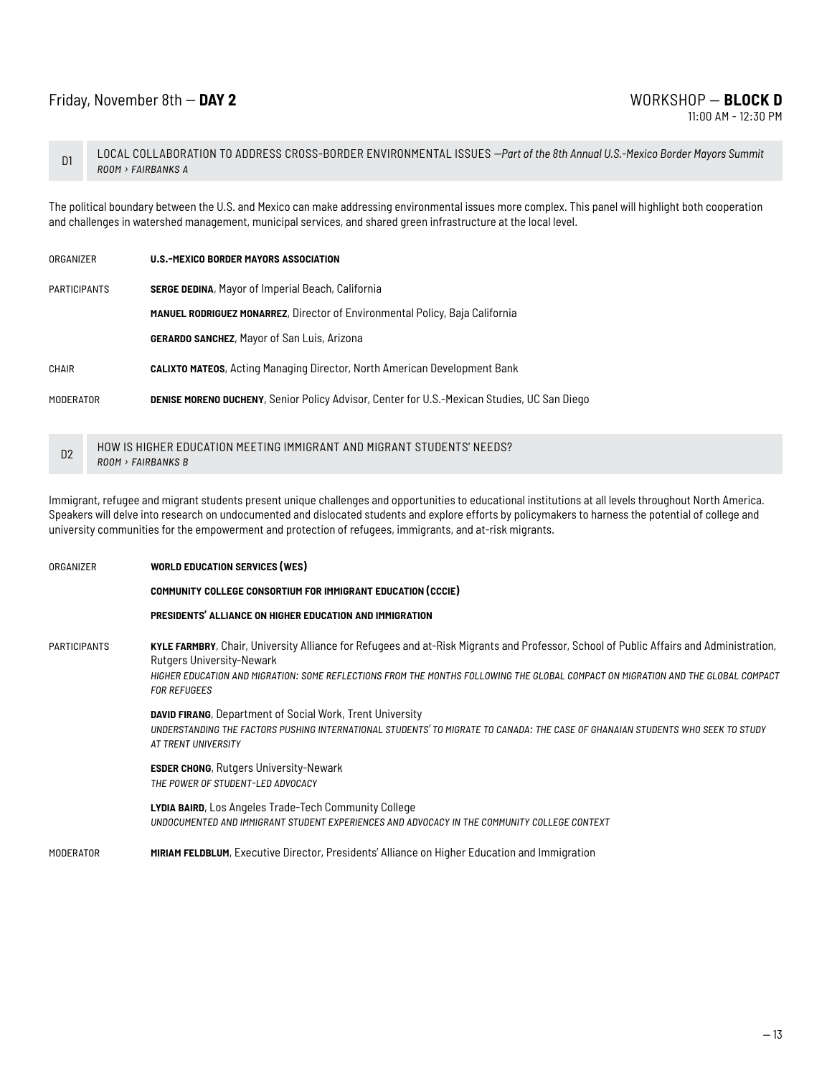## Friday, November 8th -- **DAY 2** WORKSHOP — **BLOCK D**

11:00 AM - 12:30 PM

D1 LOCAL COLLABORATION TO ADDRESS CROSS-BORDER ENVIRONMENTAL ISSUES *--Part of the 8th Annual U.S.-Mexico Border Mayors Summit room › fairbanks a*

The political boundary between the U.S. and Mexico can make addressing environmental issues more complex. This panel will highlight both cooperation and challenges in watershed management, municipal services, and shared green infrastructure at the local level.

| ORGANIZER           | U.S.-MEXICO BORDER MAYORS ASSOCIATION                                                              |
|---------------------|----------------------------------------------------------------------------------------------------|
| <b>PARTICIPANTS</b> | <b>SERGE DEDINA, Mayor of Imperial Beach, California</b>                                           |
|                     | <b>MANUEL RODRIGUEZ MONARREZ, Director of Environmental Policy, Baja California</b>                |
|                     | <b>GERARDO SANCHEZ, Mayor of San Luis, Arizona</b>                                                 |
| CHAIR               | <b>CALIXTO MATEOS, Acting Managing Director, North American Development Bank</b>                   |
| MODERATOR           | <b>DENISE MORENO DUCHENY, Senior Policy Advisor, Center for U.S.-Mexican Studies, UC San Diego</b> |
|                     |                                                                                                    |

D2 HOW IS HIGHER EDUCATION MEETING IMMIGRANT AND MIGRANT STUDENTS' NEEDS? *room › fairbanks b*

Immigrant, refugee and migrant students present unique challenges and opportunities to educational institutions at all levels throughout North America. Speakers will delve into research on undocumented and dislocated students and explore efforts by policymakers to harness the potential of college and university communities for the empowerment and protection of refugees, immigrants, and at-risk migrants.

| ORGANIZER    | <b>WORLD EDUCATION SERVICES (WES)</b>                                                                                                                                                                                                                                                                                           |
|--------------|---------------------------------------------------------------------------------------------------------------------------------------------------------------------------------------------------------------------------------------------------------------------------------------------------------------------------------|
|              | <b>COMMUNITY COLLEGE CONSORTIUM FOR IMMIGRANT EDUCATION (CCCIE)</b>                                                                                                                                                                                                                                                             |
|              | PRESIDENTS' ALLIANCE ON HIGHER EDUCATION AND IMMIGRATION                                                                                                                                                                                                                                                                        |
| PARTICIPANTS | KYLE FARMBRY, Chair, University Alliance for Refugees and at-Risk Migrants and Professor, School of Public Affairs and Administration,<br>Rutgers University-Newark<br>HIGHER EDUCATION AND MIGRATION: SOME REFLECTIONS FROM THE MONTHS FOLLOWING THE GLOBAL COMPACT ON MIGRATION AND THE GLOBAL COMPACT<br><b>FOR REFUGEES</b> |
|              | <b>DAVID FIRANG, Department of Social Work, Trent University</b><br>UNDERSTANDING THE FACTORS PUSHING INTERNATIONAL STUDENTS' TO MIGRATE TO CANADA: THE CASE OF GHANAIAN STUDENTS WHO SEEK TO STUDY<br>AT TRENT UNIVERSITY                                                                                                      |
|              | <b>ESDER CHONG, Rutgers University-Newark</b><br>THE POWER OF STUDENT-LED ADVOCACY                                                                                                                                                                                                                                              |
|              | <b>LYDIA BAIRD, Los Angeles Trade-Tech Community College</b><br>UNDOCUMENTED AND IMMIGRANT STUDENT EXPERIENCES AND ADVOCACY IN THE COMMUNITY COLLEGE CONTEXT                                                                                                                                                                    |
| MODERATOR    | <b>MIRIAM FELDBLUM, Executive Director, Presidents' Alliance on Higher Education and Immigration</b>                                                                                                                                                                                                                            |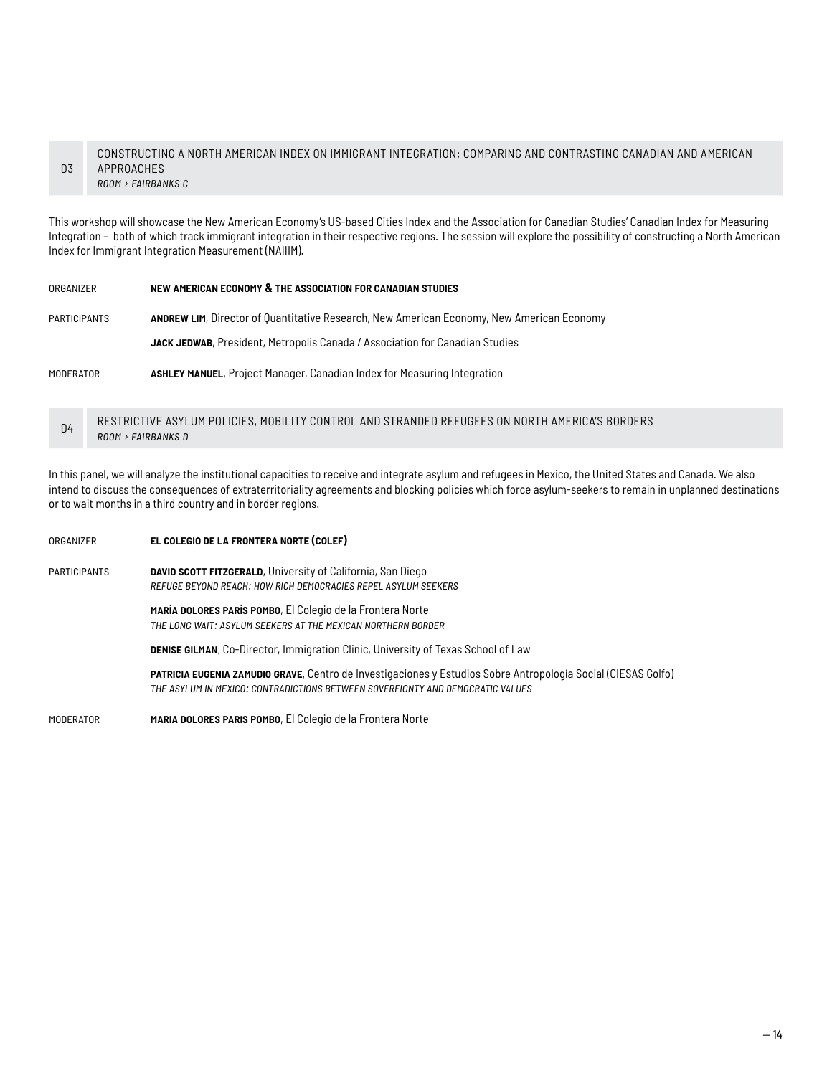#### D<sub>3</sub> CONSTRUCTING A NORTH AMERICAN INDEX ON IMMIGRANT INTEGRATION: COMPARING AND CONTRASTING CANADIAN AND AMERICAN APPROACHES *room › fairbanks c*

This workshop will showcase the New American Economy's US-based Cities Index and the Association for Canadian Studies' Canadian Index for Measuring Integration – both of which track immigrant integration in their respective regions. The session will explore the possibility of constructing a North American Index for Immigrant Integration Measurement (NAIIIM).

| ORGANIZER           | NEW AMERICAN ECONOMY & THE ASSOCIATION FOR CANADIAN STUDIES                                      |
|---------------------|--------------------------------------------------------------------------------------------------|
| <b>PARTICIPANTS</b> | <b>ANDREW LIM, Director of Quantitative Research, New American Economy, New American Economy</b> |
|                     | JACK JEDWAB, President, Metropolis Canada / Association for Canadian Studies                     |
| MODERATOR           | <b>ASHLEY MANUEL, Project Manager, Canadian Index for Measuring Integration</b>                  |

D4 RESTRICTIVE ASYLUM POLICIES, MOBILITY CONTROL AND STRANDED REFUGEES ON NORTH AMERICA'S BORDERS *room › fairbanks d*

In this panel, we will analyze the institutional capacities to receive and integrate asylum and refugees in Mexico, the United States and Canada. We also intend to discuss the consequences of extraterritoriality agreements and blocking policies which force asylum-seekers to remain in unplanned destinations or to wait months in a third country and in border regions.

| ORGANIZER    | EL COLEGIO DE LA FRONTERA NORTE (COLEF)                                                                                                                                                                |
|--------------|--------------------------------------------------------------------------------------------------------------------------------------------------------------------------------------------------------|
| PARTICIPANTS | <b>DAVID SCOTT FITZGERALD, University of California, San Diego</b><br>REFUGE BEYOND REACH: HOW RICH DEMOCRACIES REPEL ASYLUM SEEKERS                                                                   |
|              | MARÍA DOLORES PARÍS POMBO, El Colegio de la Frontera Norte<br>THE LONG WAIT: ASYLUM SEEKERS AT THE MEXICAN NORTHERN BORDER                                                                             |
|              | <b>DENISE GILMAN, Co-Director, Immigration Clinic, University of Texas School of Law</b>                                                                                                               |
|              | <b>PATRICIA EUGENIA ZAMUDIO GRAVE, Centro de Investigaciones y Estudios Sobre Antropología Social (CIESAS Golfo)</b><br>THE ASYLUM IN MEXICO: CONTRADICTIONS BETWEEN SOVEREIGNTY AND DEMOCRATIC VALUES |
| MODERATOR    | MARIA DOLORES PARIS POMBO, El Colegio de la Frontera Norte                                                                                                                                             |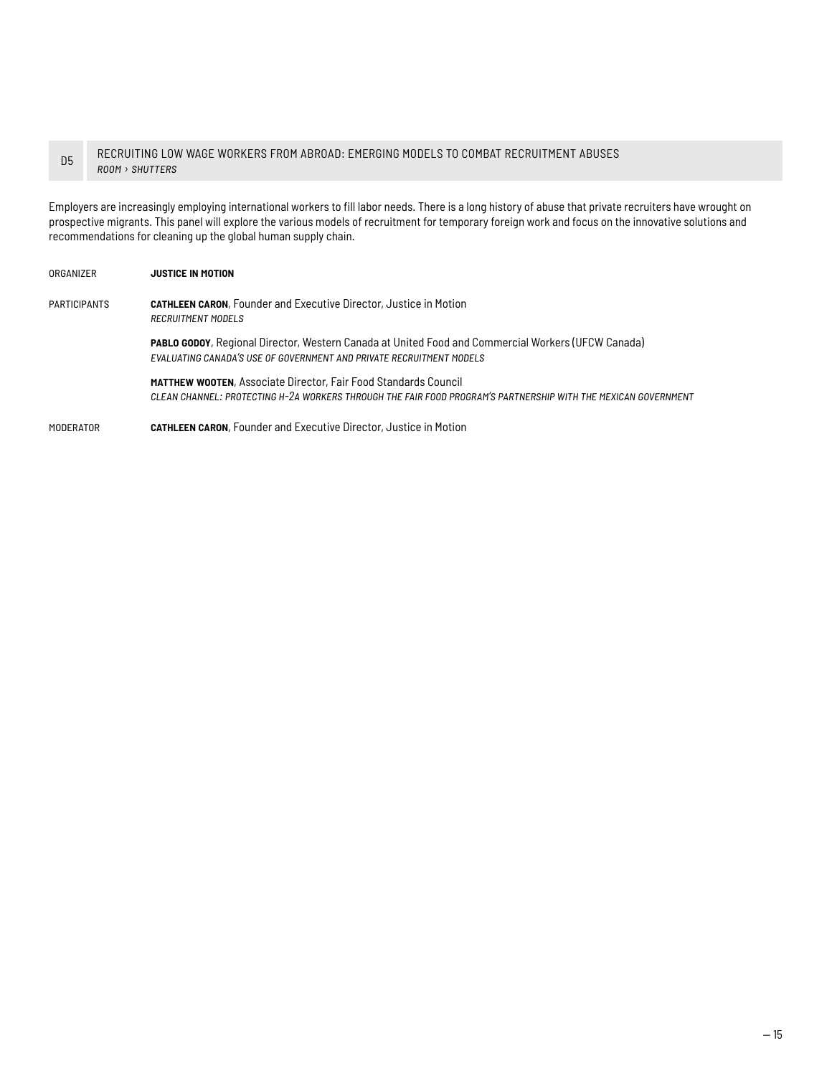#### D5 RECRUITING LOW WAGE WORKERS FROM ABROAD: EMERGING MODELS TO COMBAT RECRUITMENT ABUSES *room › shutters*

Employers are increasingly employing international workers to fill labor needs. There is a long history of abuse that private recruiters have wrought on prospective migrants. This panel will explore the various models of recruitment for temporary foreign work and focus on the innovative solutions and recommendations for cleaning up the global human supply chain.

| ORGANIZER           | <b>JUSTICE IN MOTION</b>                                                                                                                                                                 |
|---------------------|------------------------------------------------------------------------------------------------------------------------------------------------------------------------------------------|
| <b>PARTICIPANTS</b> | <b>CATHLEEN CARON, Founder and Executive Director, Justice in Motion</b><br><b>RECRUITMENT MODELS</b>                                                                                    |
|                     | PABLO GODOY, Regional Director, Western Canada at United Food and Commercial Workers (UFCW Canada)<br>EVALUATING CANADA'S USE OF GOVERNMENT AND PRIVATE RECRUITMENT MODELS               |
|                     | <b>MATTHEW WOOTEN, Associate Director, Fair Food Standards Council</b><br>CLEAN CHANNEL: PROTECTING H-2A WORKERS THROUGH THE FAIR FOOD PROGRAM'S PARTNERSHIP WITH THE MEXICAN GOVERNMENT |
| MODERATOR           | <b>CATHLEEN CARON, Founder and Executive Director, Justice in Motion</b>                                                                                                                 |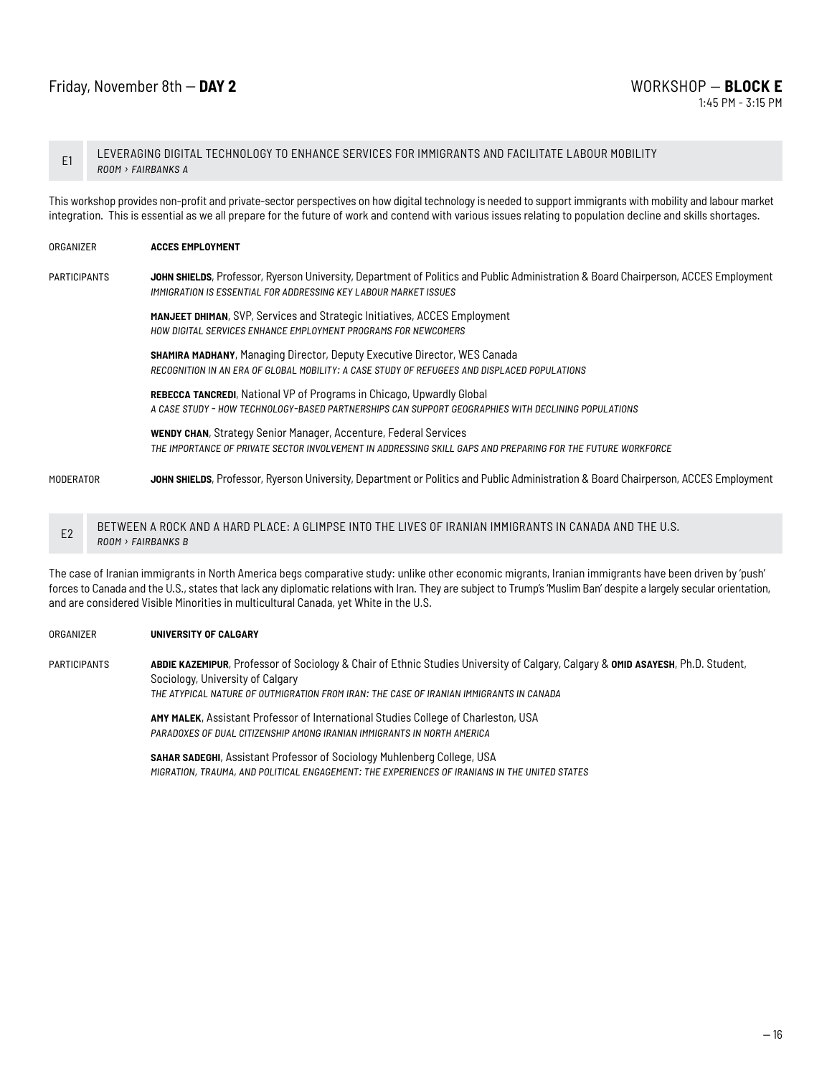## Friday, November 8th -- **DAY 2** WORKSHOP — **BLOCK E**

E1 LEVERAGING DIGITAL TECHNOLOGY TO ENHANCE SERVICES FOR IMMIGRANTS AND FACILITATE LABOUR MOBILITY *room › fairbanks a*

This workshop provides non-profit and private-sector perspectives on how digital technology is needed to support immigrants with mobility and labour market integration. This is essential as we all prepare for the future of work and contend with various issues relating to population decline and skills shortages.

| ORGANIZER           |                        | <b>ACCES EMPLOYMENT</b>                                                                                                                                                                                 |
|---------------------|------------------------|---------------------------------------------------------------------------------------------------------------------------------------------------------------------------------------------------------|
| <b>PARTICIPANTS</b> |                        | JOHN SHIELDS, Professor, Ryerson University, Department of Politics and Public Administration & Board Chairperson, ACCES Employment<br>IMMIGRATION IS ESSENTIAL FOR ADDRESSING KEY LABOUR MARKET ISSUES |
|                     |                        | MANJEET DHIMAN, SVP, Services and Strategic Initiatives, ACCES Employment<br>HOW DIGITAL SERVICES ENHANCE EMPLOYMENT PROGRAMS FOR NEWCOMERS                                                             |
|                     |                        | <b>SHAMIRA MADHANY, Managing Director, Deputy Executive Director, WES Canada</b><br>RECOGNITION IN AN ERA OF GLOBAL MOBILITY: A CASE STUDY OF REFUGEES AND DISPLACED POPULATIONS                        |
|                     |                        | <b>REBECCA TANCREDI, National VP of Programs in Chicago, Upwardly Global</b><br>A CASE STUDY - HOW TECHNOLOGY-BASED PARTNERSHIPS CAN SUPPORT GEOGRAPHIES WITH DECLINING POPULATIONS                     |
|                     |                        | <b>WENDY CHAN, Strategy Senior Manager, Accenture, Federal Services</b><br>THE IMPORTANCE OF PRIVATE SECTOR INVOLVEMENT IN ADDRESSING SKILL GAPS AND PREPARING FOR THE FUTURE WORKFORCE                 |
| <b>MODERATOR</b>    |                        | JOHN SHIELDS, Professor, Ryerson University, Department or Politics and Public Administration & Board Chairperson, ACCES Employment                                                                     |
| E <sub>2</sub>      | <b>BOOM FILBBILLIO</b> | BETWEEN A ROCK AND A HARD PLACE: A GLIMPSE INTO THE LIVES OF IRANIAN IMMIGRANTS IN CANADA AND THE U.S.                                                                                                  |

*room › fairbanks b*

The case of Iranian immigrants in North America begs comparative study: unlike other economic migrants, Iranian immigrants have been driven by 'push' forces to Canada and the U.S., states that lack any diplomatic relations with Iran. They are subject to Trump's 'Muslim Ban' despite a largely secular orientation, and are considered Visible Minorities in multicultural Canada, yet White in the U.S.

#### organizer **university of calgary**

participants **abdie kazemipur**, Professor of Sociology & Chair of Ethnic Studies University of Calgary, Calgary & **omid asayesh**, Ph.D. Student, Sociology, University of Calgary *the atypical nature of outmigration from iran: the case of iranian immigrants in canada*

> **amy malek**, Assistant Professor of International Studies College of Charleston, USA *paradoxes of dual citizenship among iranian immigrants in north america*

**sahar sadeghi**, Assistant Professor of Sociology Muhlenberg College, USA *migration, trauma, and political engagement: the experiences of iranians in the united states*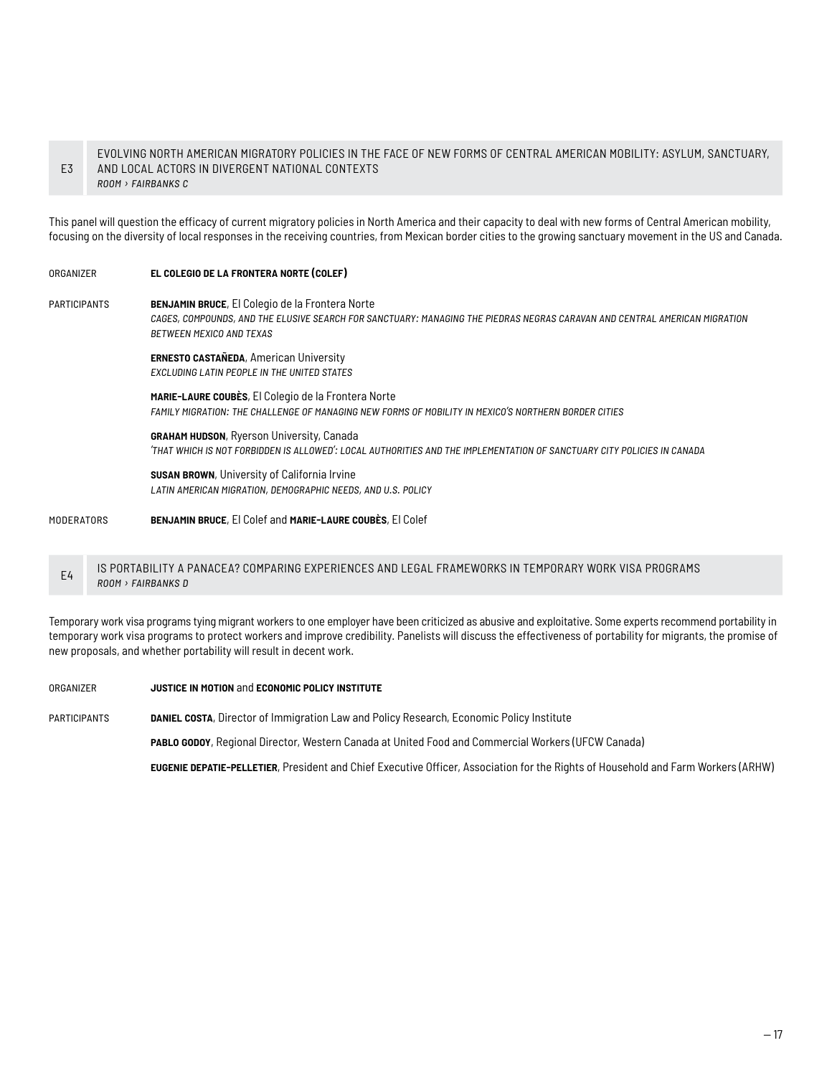#### E3 EVOLVING NORTH AMERICAN MIGRATORY POLICIES IN THE FACE OF NEW FORMS OF CENTRAL AMERICAN MOBILITY: ASYLUM, SANCTUARY, AND LOCAL ACTORS IN DIVERGENT NATIONAL CONTEXTS *room › fairbanks c*

This panel will question the efficacy of current migratory policies in North America and their capacity to deal with new forms of Central American mobility, focusing on the diversity of local responses in the receiving countries, from Mexican border cities to the growing sanctuary movement in the US and Canada.

#### organizer **el colegio de la frontera norte (colef)**

participants **benjamin bruce**, El Colegio de la Frontera Norte *cages, compounds, and the elusive search for sanctuary: managing the piedras negras caravan and central american migration between mexico and texas*

> **ernesto castañeda**, American University *excluding latin people in the united states*

**marie-laure coubès**, El Colegio de la Frontera Norte *family migration: the challenge of managing new forms of mobility in mexico's northern border cities*

**graham hudson**, Ryerson University, Canada *'that which is not forbidden is allowed': local authorities and the implementation of sanctuary city policies in canada*

**susan brown**, University of California Irvine *latin american migration, demographic needs, and u.s. policy*

#### moderators **benjamin bruce**, El Colef and **marie-laure coubès**, El Colef

#### E4 IS PORTABILITY A PANACEA? COMPARING EXPERIENCES AND LEGAL FRAMEWORKS IN TEMPORARY WORK VISA PROGRAMS *room › fairbanks d*

Temporary work visa programs tying migrant workers to one employer have been criticized as abusive and exploitative. Some experts recommend portability in temporary work visa programs to protect workers and improve credibility. Panelists will discuss the effectiveness of portability for migrants, the promise of new proposals, and whether portability will result in decent work.

organizer **justice in motion** and **economic policy institute**

participants **daniel costa**, Director of Immigration Law and Policy Research, Economic Policy Institute

**pablo godoy**, Regional Director, Western Canada at United Food and Commercial Workers (UFCW Canada)

**eugenie depatie-pelletier**, President and Chief Executive Officer, Association for the Rights of Household and Farm Workers (ARHW)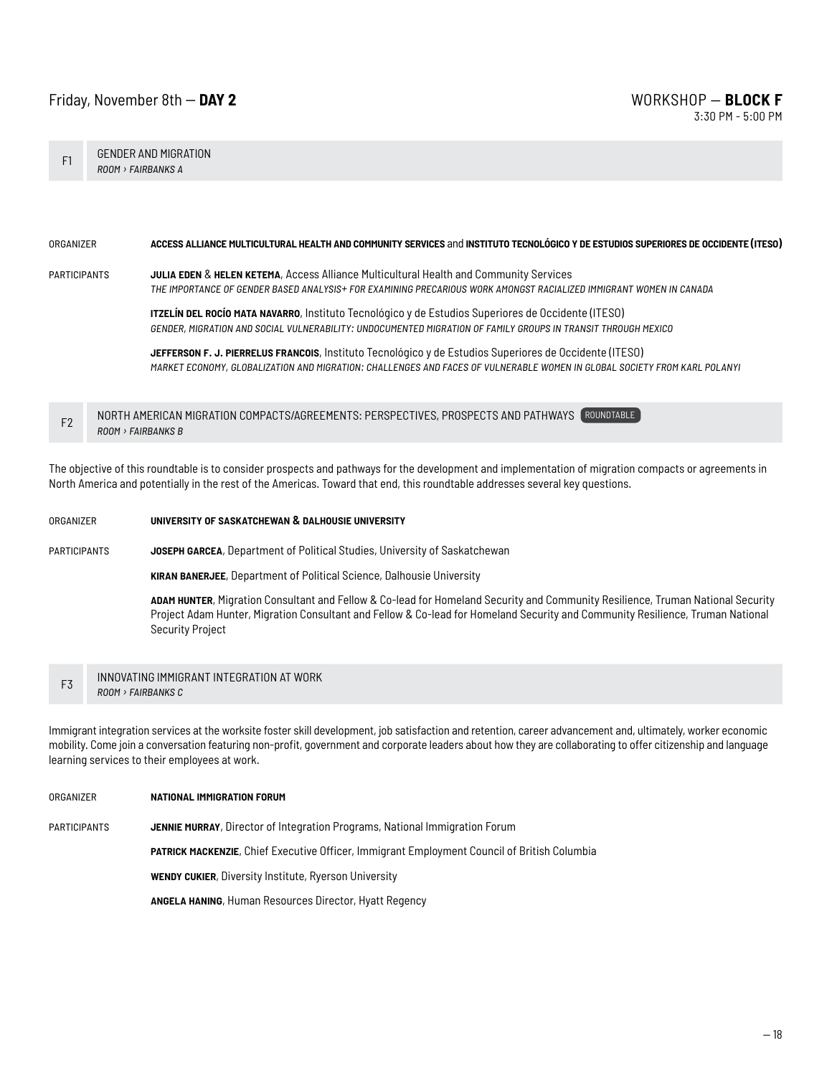### Friday, November 8th -- **DAY 2** WORKSHOP — **BLOCK F**

F1 GENDER AND MIGRATION *room › fairbanks a*

#### organizer **access alliance multicultural health and community services** and **instituto tecnológico y de estudios superiores de occidente (iteso)**

### participants **julia eden** & **helen ketema**, Access Alliance Multicultural Health and Community Services

*the importance of gender based analysis+ for examining precarious work amongst racialized immigrant women in canada*

**itzelín del rocío mata navarro**, Instituto Tecnológico y de Estudios Superiores de Occidente (ITESO) *gender, migration and social vulnerability: undocumented migration of family groups in transit through mexico*

**jefferson f. j. pierrelus francois**, Instituto Tecnológico y de Estudios Superiores de Occidente (ITESO) *market economy, globalization and migration: challenges and faces of vulnerable women in global society from karl polanyi*

F2 NORTH AMERICAN MIGRATION COMPACTS/AGREEMENTS: PERSPECTIVES, PROSPECTS AND PATHWAYS ROUNDTABLE *room › fairbanks b*

The objective of this roundtable is to consider prospects and pathways for the development and implementation of migration compacts or agreements in North America and potentially in the rest of the Americas. Toward that end, this roundtable addresses several key questions.

## organizer **university of saskatchewan & dalhousie university** participants **joseph garcea**, Department of Political Studies, University of Saskatchewan **kiran banerjee**, Department of Political Science, Dalhousie University **adam hunter**, Migration Consultant and Fellow & Co-lead for Homeland Security and Community Resilience, Truman National Security Project Adam Hunter, Migration Consultant and Fellow & Co-lead for Homeland Security and Community Resilience, Truman National Security Project

**F3** INNOVATING IMMIGRANT INTEGRATION AT WORK *room › fairbanks c*

Immigrant integration services at the worksite foster skill development, job satisfaction and retention, career advancement and, ultimately, worker economic mobility. Come join a conversation featuring non-profit, government and corporate leaders about how they are collaborating to offer citizenship and language learning services to their employees at work.

organizer **national immigration forum** participants **jennie murray**, Director of Integration Programs, National Immigration Forum **patrick mackenzie**, Chief Executive Officer, Immigrant Employment Council of British Columbia **wendy cukier**, Diversity Institute, Ryerson University **angela haning**, Human Resources Director, Hyatt Regency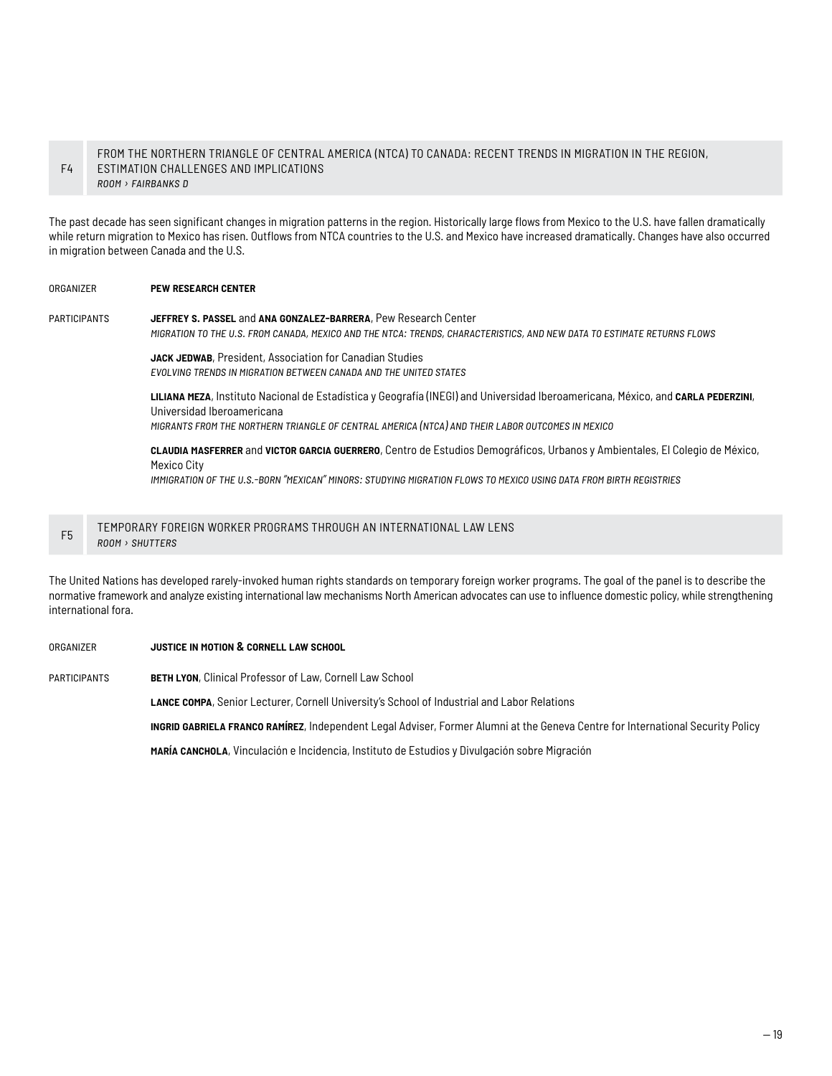#### F4 FROM THE NORTHERN TRIANGLE OF CENTRAL AMERICA (NTCA) TO CANADA: RECENT TRENDS IN MIGRATION IN THE REGION, ESTIMATION CHALLENGES AND IMPLICATIONS *room › fairbanks d*

The past decade has seen significant changes in migration patterns in the region. Historically large flows from Mexico to the U.S. have fallen dramatically while return migration to Mexico has risen. Outflows from NTCA countries to the U.S. and Mexico have increased dramatically. Changes have also occurred in migration between Canada and the U.S.

#### organizer **pew research center**

participants **jeffrey s. passel** and **ana gonzalez-barrera**, Pew Research Center

*migration to the u.s. from canada, mexico and the ntca: trends, characteristics, and new data to estimate returns flows*

JACK JEDWAB, President, Association for Canadian Studies *evolving trends in migration between canada and the united states*

**liliana meza**, Instituto Nacional de Estadística y Geografía (INEGI) and Universidad Iberoamericana, México, and **carla pederzini**, Universidad Iberoamericana *migrants from the northern triangle of central america (ntca) and their labor outcomes in mexico* 

**claudia masferrer** and **victor garcia guerrero**, Centro de Estudios Demográficos, Urbanos y Ambientales, El Colegio de México, Mexico City

*immigration of the u.s.-born "mexican" minors: studying migration flows to mexico using data from birth registries*

#### F5 TEMPORARY FOREIGN WORKER PROGRAMS THROUGH AN INTERNATIONAL LAW LENS *room › shutters*

The United Nations has developed rarely-invoked human rights standards on temporary foreign worker programs. The goal of the panel is to describe the normative framework and analyze existing international law mechanisms North American advocates can use to influence domestic policy, while strengthening international fora.

#### organizer **justice in motion & cornell law school**

participants **beth lyon**, Clinical Professor of Law, Cornell Law School

**lance compa**, Senior Lecturer, Cornell University's School of Industrial and Labor Relations

**ingrid gabriela franco ramírez**, Independent Legal Adviser, Former Alumni at the Geneva Centre for International Security Policy

**maría canchola**, Vinculación e Incidencia, Instituto de Estudios y Divulgación sobre Migración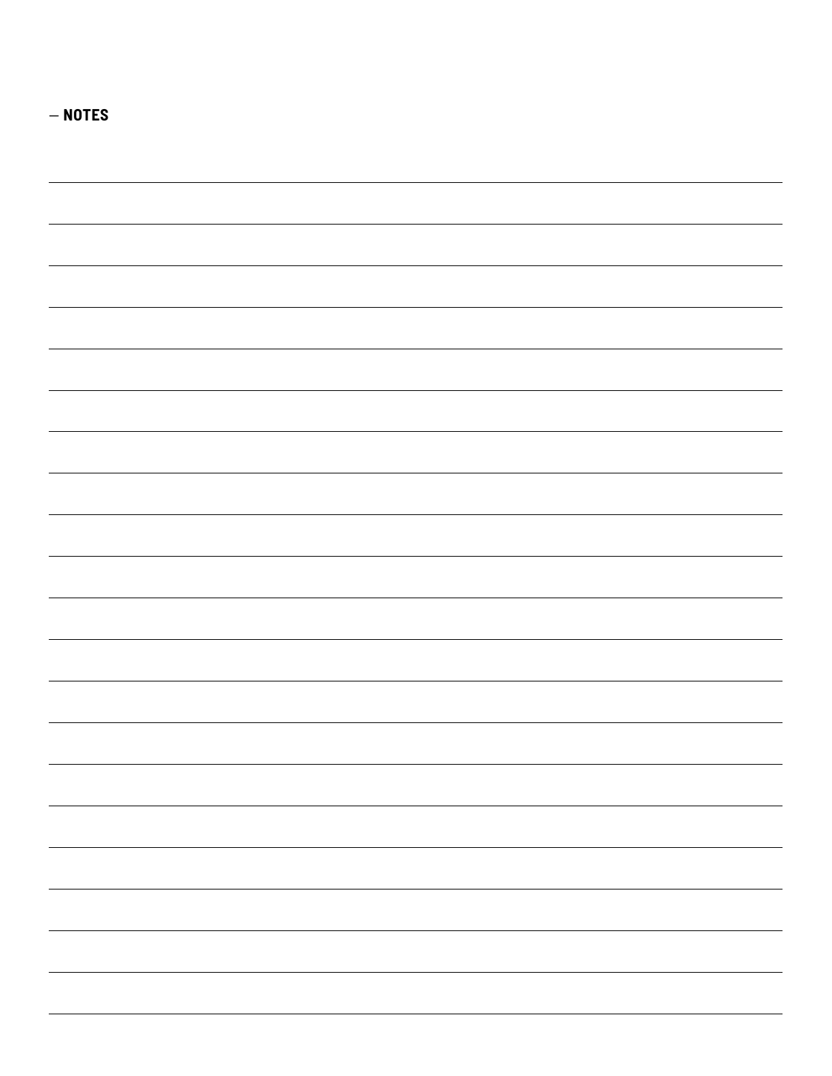| $-$ NOTES                                                                                                            |               |
|----------------------------------------------------------------------------------------------------------------------|---------------|
|                                                                                                                      |               |
|                                                                                                                      |               |
|                                                                                                                      |               |
|                                                                                                                      |               |
|                                                                                                                      |               |
|                                                                                                                      |               |
|                                                                                                                      |               |
|                                                                                                                      |               |
|                                                                                                                      |               |
|                                                                                                                      |               |
|                                                                                                                      |               |
|                                                                                                                      |               |
|                                                                                                                      |               |
|                                                                                                                      |               |
|                                                                                                                      |               |
|                                                                                                                      |               |
|                                                                                                                      |               |
|                                                                                                                      |               |
|                                                                                                                      |               |
|                                                                                                                      |               |
|                                                                                                                      |               |
|                                                                                                                      |               |
|                                                                                                                      |               |
|                                                                                                                      |               |
|                                                                                                                      |               |
|                                                                                                                      |               |
|                                                                                                                      |               |
|                                                                                                                      |               |
|                                                                                                                      |               |
|                                                                                                                      |               |
|                                                                                                                      |               |
|                                                                                                                      |               |
|                                                                                                                      |               |
|                                                                                                                      |               |
|                                                                                                                      |               |
|                                                                                                                      |               |
|                                                                                                                      |               |
|                                                                                                                      |               |
|                                                                                                                      | $\sim$ $\sim$ |
|                                                                                                                      |               |
|                                                                                                                      |               |
|                                                                                                                      |               |
|                                                                                                                      |               |
|                                                                                                                      |               |
|                                                                                                                      |               |
|                                                                                                                      |               |
|                                                                                                                      |               |
| <u> 1989 - Johann Stoff, amerikan bestemanns og forskellige og forskellige og forskellige og forskellige og fors</u> |               |
|                                                                                                                      |               |